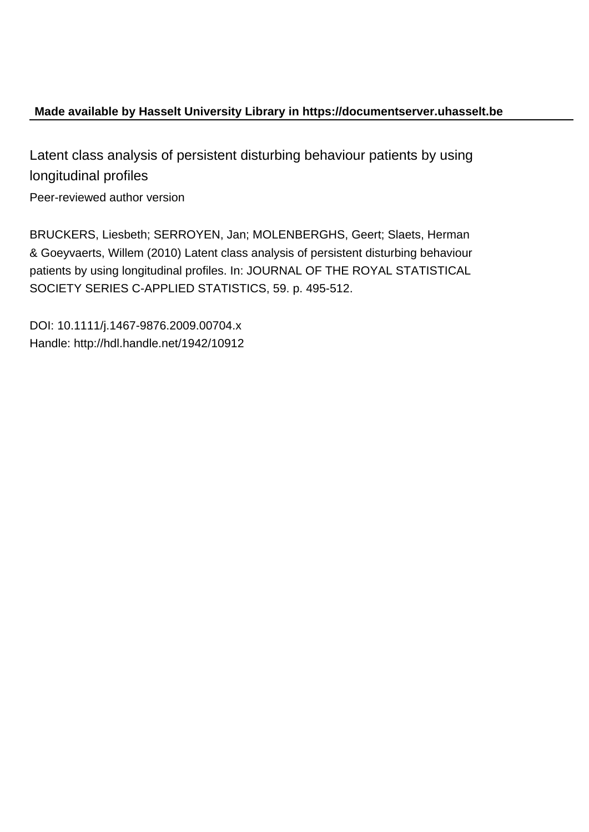# **Made available by Hasselt University Library in https://documentserver.uhasselt.be**

Latent class analysis of persistent disturbing behaviour patients by using longitudinal profiles

Peer-reviewed author version

BRUCKERS, Liesbeth; SERROYEN, Jan; MOLENBERGHS, Geert; Slaets, Herman & Goeyvaerts, Willem (2010) Latent class analysis of persistent disturbing behaviour patients by using longitudinal profiles. In: JOURNAL OF THE ROYAL STATISTICAL SOCIETY SERIES C-APPLIED STATISTICS, 59. p. 495-512.

DOI: 10.1111/j.1467-9876.2009.00704.x Handle: http://hdl.handle.net/1942/10912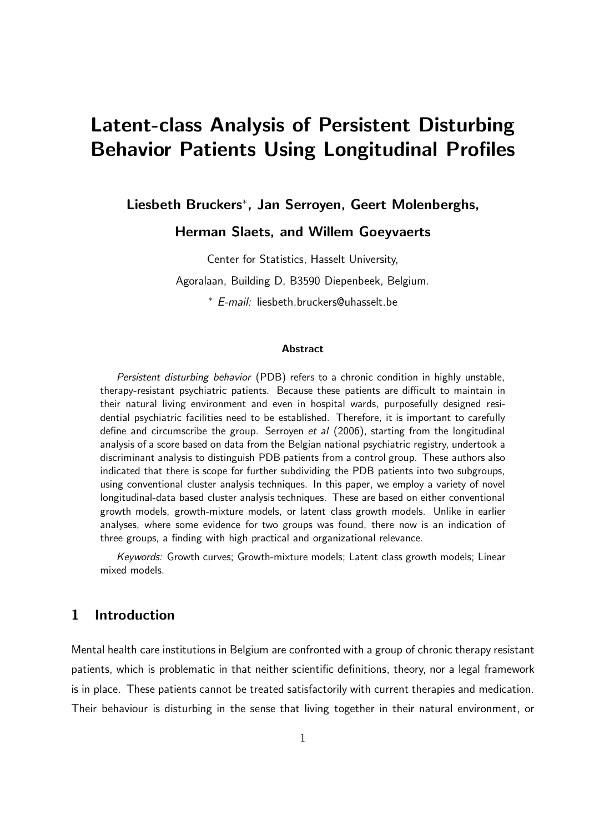# Latent-class Analysis of Persistent Disturbing Behavior Patients Using Longitudinal Profiles

Liesbeth Bruckers<sup>∗</sup> , Jan Serroyen, Geert Molenberghs,

Herman Slaets, and Willem Goeyvaerts

Center for Statistics, Hasselt University,

Agoralaan, Building D, B3590 Diepenbeek, Belgium.

<sup>∗</sup> E-mail: liesbeth.bruckers@uhasselt.be

#### Abstract

Persistent disturbing behavior (PDB) refers to a chronic condition in highly unstable, therapy-resistant psychiatric patients. Because these patients are difficult to maintain in their natural living environment and even in hospital wards, purposefully designed residential psychiatric facilities need to be established. Therefore, it is important to carefully define and circumscribe the group. Serroyen et al  $(2006)$ , starting from the longitudinal analysis of a score based on data from the Belgian national psychiatric registry, undertook a discriminant analysis to distinguish PDB patients from a control group. These authors also indicated that there is scope for further subdividing the PDB patients into two subgroups, using conventional cluster analysis techniques. In this paper, we employ a variety of novel longitudinal-data based cluster analysis techniques. These are based on either conventional growth models, growth-mixture models, or latent class growth models. Unlike in earlier analyses, where some evidence for two groups was found, there now is an indication of three groups, a finding with high practical and organizational relevance.

Keywords: Growth curves; Growth-mixture models; Latent class growth models; Linear mixed models.

# 1 Introduction

Mental health care institutions in Belgium are confronted with a group of chronic therapy resistant patients, which is problematic in that neither scientific definitions, theory, nor a legal framework is in place. These patients cannot be treated satisfactorily with current therapies and medication. Their behaviour is disturbing in the sense that living together in their natural environment, or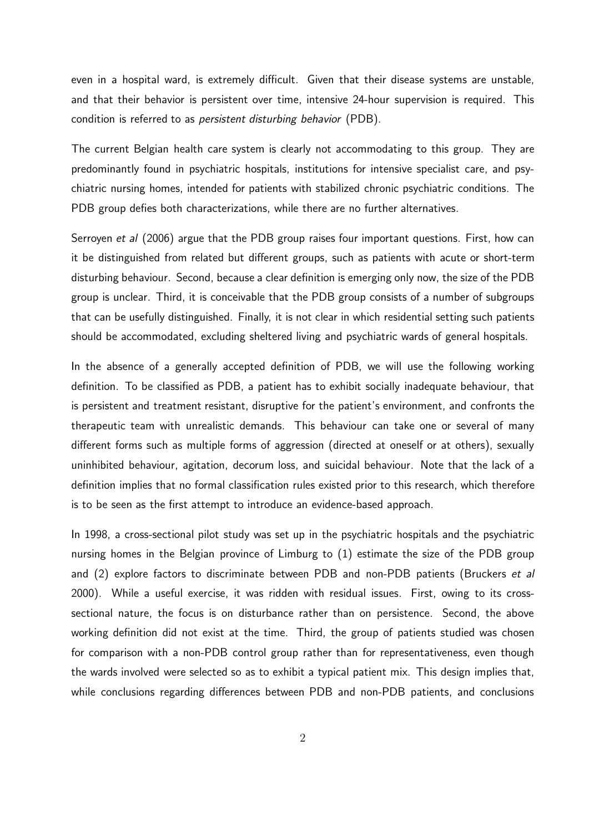even in a hospital ward, is extremely difficult. Given that their disease systems are unstable, and that their behavior is persistent over time, intensive 24-hour supervision is required. This condition is referred to as persistent disturbing behavior (PDB).

The current Belgian health care system is clearly not accommodating to this group. They are predominantly found in psychiatric hospitals, institutions for intensive specialist care, and psychiatric nursing homes, intended for patients with stabilized chronic psychiatric conditions. The PDB group defies both characterizations, while there are no further alternatives.

Serroyen et al (2006) argue that the PDB group raises four important questions. First, how can it be distinguished from related but different groups, such as patients with acute or short-term disturbing behaviour. Second, because a clear definition is emerging only now, the size of the PDB group is unclear. Third, it is conceivable that the PDB group consists of a number of subgroups that can be usefully distinguished. Finally, it is not clear in which residential setting such patients should be accommodated, excluding sheltered living and psychiatric wards of general hospitals.

In the absence of a generally accepted definition of PDB, we will use the following working definition. To be classified as PDB, a patient has to exhibit socially inadequate behaviour, that is persistent and treatment resistant, disruptive for the patient's environment, and confronts the therapeutic team with unrealistic demands. This behaviour can take one or several of many different forms such as multiple forms of aggression (directed at oneself or at others), sexually uninhibited behaviour, agitation, decorum loss, and suicidal behaviour. Note that the lack of a definition implies that no formal classification rules existed prior to this research, which therefore is to be seen as the first attempt to introduce an evidence-based approach.

In 1998, a cross-sectional pilot study was set up in the psychiatric hospitals and the psychiatric nursing homes in the Belgian province of Limburg to (1) estimate the size of the PDB group and (2) explore factors to discriminate between PDB and non-PDB patients (Bruckers et al 2000). While a useful exercise, it was ridden with residual issues. First, owing to its crosssectional nature, the focus is on disturbance rather than on persistence. Second, the above working definition did not exist at the time. Third, the group of patients studied was chosen for comparison with a non-PDB control group rather than for representativeness, even though the wards involved were selected so as to exhibit a typical patient mix. This design implies that, while conclusions regarding differences between PDB and non-PDB patients, and conclusions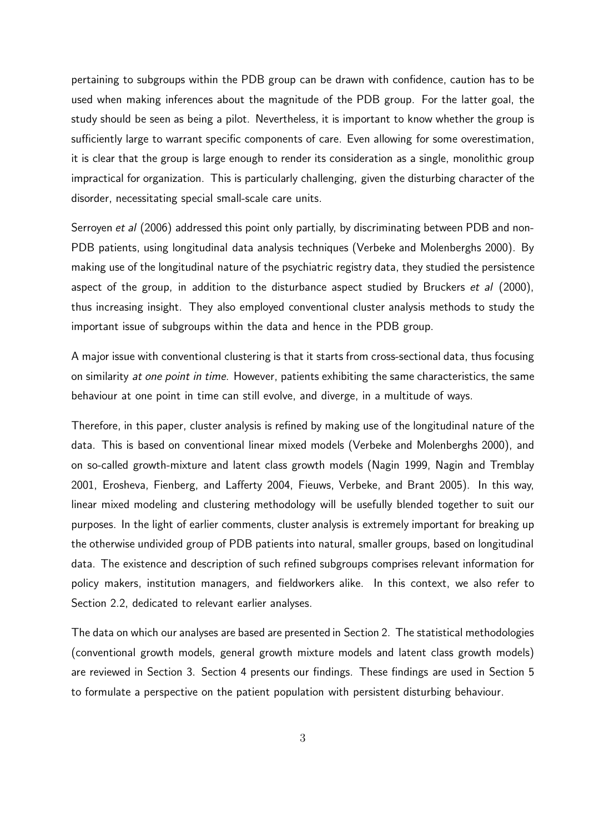pertaining to subgroups within the PDB group can be drawn with confidence, caution has to be used when making inferences about the magnitude of the PDB group. For the latter goal, the study should be seen as being a pilot. Nevertheless, it is important to know whether the group is sufficiently large to warrant specific components of care. Even allowing for some overestimation, it is clear that the group is large enough to render its consideration as a single, monolithic group impractical for organization. This is particularly challenging, given the disturbing character of the disorder, necessitating special small-scale care units.

Serroyen et al (2006) addressed this point only partially, by discriminating between PDB and non-PDB patients, using longitudinal data analysis techniques (Verbeke and Molenberghs 2000). By making use of the longitudinal nature of the psychiatric registry data, they studied the persistence aspect of the group, in addition to the disturbance aspect studied by Bruckers *et al* (2000), thus increasing insight. They also employed conventional cluster analysis methods to study the important issue of subgroups within the data and hence in the PDB group.

A major issue with conventional clustering is that it starts from cross-sectional data, thus focusing on similarity at one point in time. However, patients exhibiting the same characteristics, the same behaviour at one point in time can still evolve, and diverge, in a multitude of ways.

Therefore, in this paper, cluster analysis is refined by making use of the longitudinal nature of the data. This is based on conventional linear mixed models (Verbeke and Molenberghs 2000), and on so-called growth-mixture and latent class growth models (Nagin 1999, Nagin and Tremblay 2001, Erosheva, Fienberg, and Lafferty 2004, Fieuws, Verbeke, and Brant 2005). In this way, linear mixed modeling and clustering methodology will be usefully blended together to suit our purposes. In the light of earlier comments, cluster analysis is extremely important for breaking up the otherwise undivided group of PDB patients into natural, smaller groups, based on longitudinal data. The existence and description of such refined subgroups comprises relevant information for policy makers, institution managers, and fieldworkers alike. In this context, we also refer to Section 2.2, dedicated to relevant earlier analyses.

The data on which our analyses are based are presented in Section 2. The statistical methodologies (conventional growth models, general growth mixture models and latent class growth models) are reviewed in Section 3. Section 4 presents our findings. These findings are used in Section 5 to formulate a perspective on the patient population with persistent disturbing behaviour.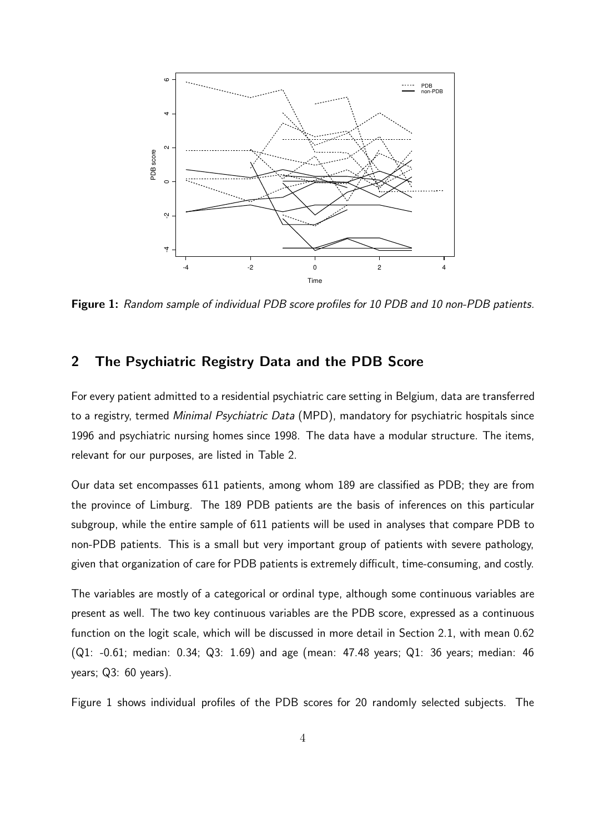

Figure 1: Random sample of individual PDB score profiles for 10 PDB and 10 non-PDB patients.

## 2 The Psychiatric Registry Data and the PDB Score

For every patient admitted to a residential psychiatric care setting in Belgium, data are transferred to a registry, termed Minimal Psychiatric Data (MPD), mandatory for psychiatric hospitals since 1996 and psychiatric nursing homes since 1998. The data have a modular structure. The items, relevant for our purposes, are listed in Table 2.

Our data set encompasses 611 patients, among whom 189 are classified as PDB; they are from the province of Limburg. The 189 PDB patients are the basis of inferences on this particular subgroup, while the entire sample of 611 patients will be used in analyses that compare PDB to non-PDB patients. This is a small but very important group of patients with severe pathology, given that organization of care for PDB patients is extremely difficult, time-consuming, and costly.

The variables are mostly of a categorical or ordinal type, although some continuous variables are present as well. The two key continuous variables are the PDB score, expressed as a continuous function on the logit scale, which will be discussed in more detail in Section 2.1, with mean 0.62 (Q1: -0.61; median: 0.34; Q3: 1.69) and age (mean: 47.48 years; Q1: 36 years; median: 46 years; Q3: 60 years).

Figure 1 shows individual profiles of the PDB scores for 20 randomly selected subjects. The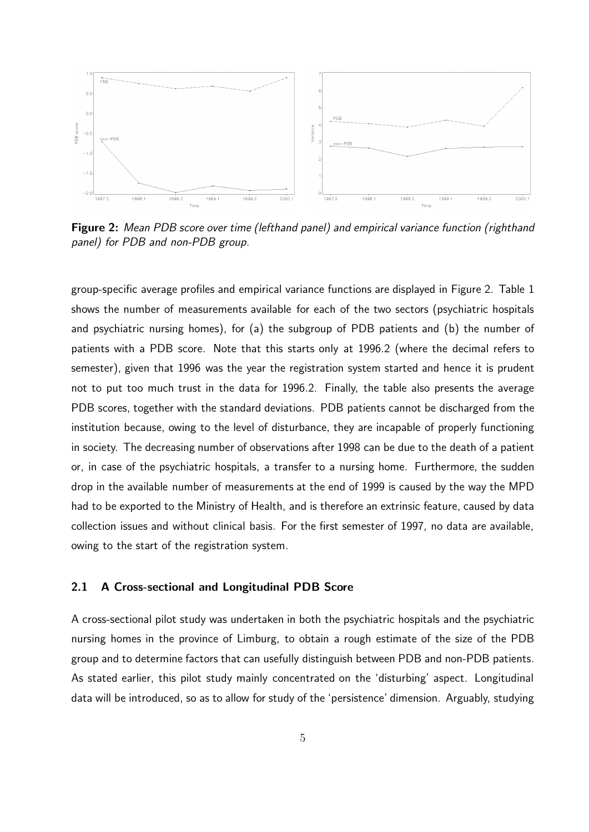

Figure 2: Mean PDB score over time (lefthand panel) and empirical variance function (righthand panel) for PDB and non-PDB group.

group-specific average profiles and empirical variance functions are displayed in Figure 2. Table 1 shows the number of measurements available for each of the two sectors (psychiatric hospitals and psychiatric nursing homes), for (a) the subgroup of PDB patients and (b) the number of patients with a PDB score. Note that this starts only at 1996.2 (where the decimal refers to semester), given that 1996 was the year the registration system started and hence it is prudent not to put too much trust in the data for 1996.2. Finally, the table also presents the average PDB scores, together with the standard deviations. PDB patients cannot be discharged from the institution because, owing to the level of disturbance, they are incapable of properly functioning in society. The decreasing number of observations after 1998 can be due to the death of a patient or, in case of the psychiatric hospitals, a transfer to a nursing home. Furthermore, the sudden drop in the available number of measurements at the end of 1999 is caused by the way the MPD had to be exported to the Ministry of Health, and is therefore an extrinsic feature, caused by data collection issues and without clinical basis. For the first semester of 1997, no data are available, owing to the start of the registration system.

#### 2.1 A Cross-sectional and Longitudinal PDB Score

A cross-sectional pilot study was undertaken in both the psychiatric hospitals and the psychiatric nursing homes in the province of Limburg, to obtain a rough estimate of the size of the PDB group and to determine factors that can usefully distinguish between PDB and non-PDB patients. As stated earlier, this pilot study mainly concentrated on the 'disturbing' aspect. Longitudinal data will be introduced, so as to allow for study of the 'persistence' dimension. Arguably, studying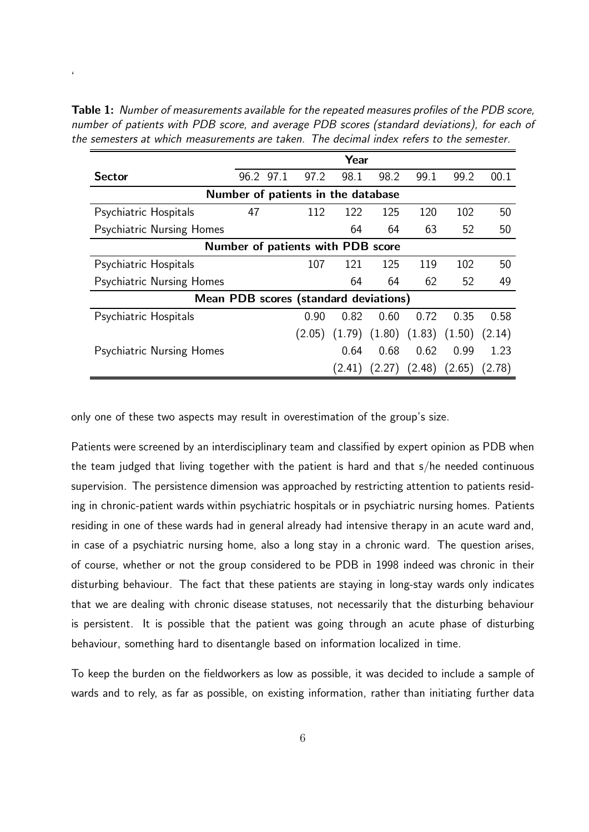Table 1: Number of measurements available for the repeated measures profiles of the PDB score, number of patients with PDB score, and average PDB scores (standard deviations), for each of the semesters at which measurements are taken. The decimal index refers to the semester.

'

|                                       |    |           |        | Year                               |        |        |                                              |        |
|---------------------------------------|----|-----------|--------|------------------------------------|--------|--------|----------------------------------------------|--------|
| <b>Sector</b>                         |    | 96.2 97.1 | 97.2   | 98.1                               | 98.2   | 99.1   | 99.2                                         | 00.1   |
|                                       |    |           |        | Number of patients in the database |        |        |                                              |        |
| Psychiatric Hospitals                 | 47 |           | 112    | 122                                | 125    | 120    | 102                                          | 50     |
| <b>Psychiatric Nursing Homes</b>      |    |           |        | 64                                 | 64     | 63     | 52                                           | 50     |
|                                       |    |           |        | Number of patients with PDB score  |        |        |                                              |        |
| Psychiatric Hospitals                 |    |           | 107    | 121                                | 125    | 119    | 102                                          | 50     |
| <b>Psychiatric Nursing Homes</b>      |    |           |        | 64                                 | 64     | 62     | 52                                           | 49     |
| Mean PDB scores (standard deviations) |    |           |        |                                    |        |        |                                              |        |
| Psychiatric Hospitals                 |    |           | 0.90   | 0.82                               | 0.60   | 0.72   | 0.35                                         | 0.58   |
|                                       |    |           | (2.05) |                                    |        |        | $(1.79)$ $(1.80)$ $(1.83)$ $(1.50)$ $(2.14)$ |        |
| <b>Psychiatric Nursing Homes</b>      |    |           |        | 0.64                               | 0.68   | 0.62   | 0.99                                         | 1.23   |
|                                       |    |           |        | (2.41)                             | (2.27) | (2.48) | (2.65)                                       | (2.78) |

only one of these two aspects may result in overestimation of the group's size.

Patients were screened by an interdisciplinary team and classified by expert opinion as PDB when the team judged that living together with the patient is hard and that s/he needed continuous supervision. The persistence dimension was approached by restricting attention to patients residing in chronic-patient wards within psychiatric hospitals or in psychiatric nursing homes. Patients residing in one of these wards had in general already had intensive therapy in an acute ward and, in case of a psychiatric nursing home, also a long stay in a chronic ward. The question arises, of course, whether or not the group considered to be PDB in 1998 indeed was chronic in their disturbing behaviour. The fact that these patients are staying in long-stay wards only indicates that we are dealing with chronic disease statuses, not necessarily that the disturbing behaviour is persistent. It is possible that the patient was going through an acute phase of disturbing behaviour, something hard to disentangle based on information localized in time.

To keep the burden on the fieldworkers as low as possible, it was decided to include a sample of wards and to rely, as far as possible, on existing information, rather than initiating further data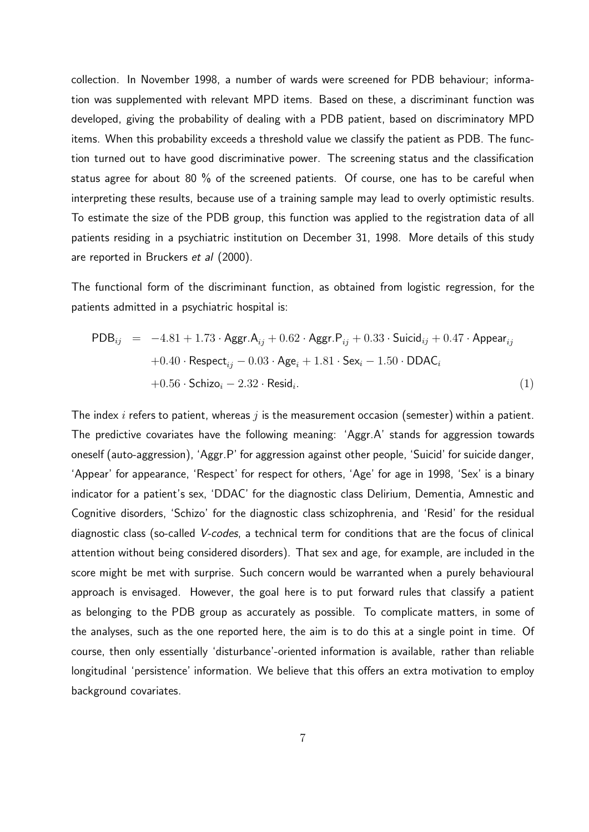collection. In November 1998, a number of wards were screened for PDB behaviour; information was supplemented with relevant MPD items. Based on these, a discriminant function was developed, giving the probability of dealing with a PDB patient, based on discriminatory MPD items. When this probability exceeds a threshold value we classify the patient as PDB. The function turned out to have good discriminative power. The screening status and the classification status agree for about 80 % of the screened patients. Of course, one has to be careful when interpreting these results, because use of a training sample may lead to overly optimistic results. To estimate the size of the PDB group, this function was applied to the registration data of all patients residing in a psychiatric institution on December 31, 1998. More details of this study are reported in Bruckers *et al* (2000).

The functional form of the discriminant function, as obtained from logistic regression, for the patients admitted in a psychiatric hospital is:

$$
\begin{aligned}\n\text{PDB}_{ij} &= -4.81 + 1.73 \cdot \text{Aggr.A}_{ij} + 0.62 \cdot \text{Aggr.P}_{ij} + 0.33 \cdot \text{Suicid}_{ij} + 0.47 \cdot \text{Appear}_{ij} \\
&\quad + 0.40 \cdot \text{Respect}_{ij} - 0.03 \cdot \text{Age}_{i} + 1.81 \cdot \text{Sex}_{i} - 1.50 \cdot \text{DDAC}_{i} \\
&\quad + 0.56 \cdot \text{Schizo}_{i} - 2.32 \cdot \text{Resid}_{i}.\n\end{aligned}
$$
\n
$$
\tag{1}
$$

The index i refers to patient, whereas  $j$  is the measurement occasion (semester) within a patient. The predictive covariates have the following meaning: 'Aggr.A' stands for aggression towards oneself (auto-aggression), 'Aggr.P' for aggression against other people, 'Suicid' for suicide danger, 'Appear' for appearance, 'Respect' for respect for others, 'Age' for age in 1998, 'Sex' is a binary indicator for a patient's sex, 'DDAC' for the diagnostic class Delirium, Dementia, Amnestic and Cognitive disorders, 'Schizo' for the diagnostic class schizophrenia, and 'Resid' for the residual diagnostic class (so-called V-codes, a technical term for conditions that are the focus of clinical attention without being considered disorders). That sex and age, for example, are included in the score might be met with surprise. Such concern would be warranted when a purely behavioural approach is envisaged. However, the goal here is to put forward rules that classify a patient as belonging to the PDB group as accurately as possible. To complicate matters, in some of the analyses, such as the one reported here, the aim is to do this at a single point in time. Of course, then only essentially 'disturbance'-oriented information is available, rather than reliable longitudinal 'persistence' information. We believe that this offers an extra motivation to employ background covariates.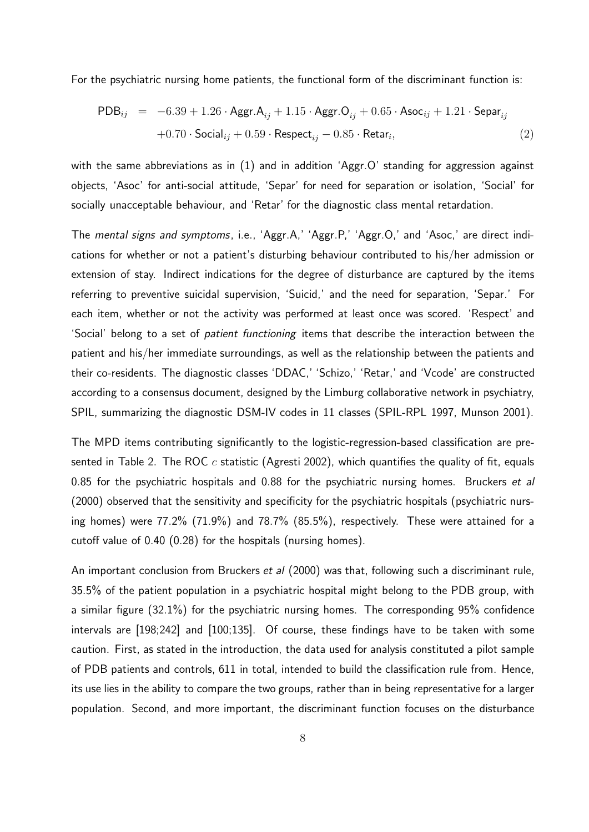For the psychiatric nursing home patients, the functional form of the discriminant function is:

$$
\begin{array}{rcl}\n\text{PDB}_{ij} & = & -6.39 + 1.26 \cdot \text{Aggr.A}_{ij} + 1.15 \cdot \text{Aggr.O}_{ij} + 0.65 \cdot \text{Asoc}_{ij} + 1.21 \cdot \text{Separ}_{ij} \\
& & +0.70 \cdot \text{Social}_{ij} + 0.59 \cdot \text{Respect}_{ij} - 0.85 \cdot \text{Retar}_{i},\n\end{array} \tag{2}
$$

with the same abbreviations as in (1) and in addition 'Aggr.O' standing for aggression against objects, 'Asoc' for anti-social attitude, 'Separ' for need for separation or isolation, 'Social' for socially unacceptable behaviour, and 'Retar' for the diagnostic class mental retardation.

The mental signs and symptoms, i.e., 'Aggr.A,' 'Aggr.P,' 'Aggr.O,' and 'Asoc,' are direct indications for whether or not a patient's disturbing behaviour contributed to his/her admission or extension of stay. Indirect indications for the degree of disturbance are captured by the items referring to preventive suicidal supervision, 'Suicid,' and the need for separation, 'Separ.' For each item, whether or not the activity was performed at least once was scored. 'Respect' and 'Social' belong to a set of *patient functioning* items that describe the interaction between the patient and his/her immediate surroundings, as well as the relationship between the patients and their co-residents. The diagnostic classes 'DDAC,' 'Schizo,' 'Retar,' and 'Vcode' are constructed according to a consensus document, designed by the Limburg collaborative network in psychiatry, SPIL, summarizing the diagnostic DSM-IV codes in 11 classes (SPIL-RPL 1997, Munson 2001).

The MPD items contributing significantly to the logistic-regression-based classification are presented in Table 2. The ROC  $c$  statistic (Agresti 2002), which quantifies the quality of fit, equals 0.85 for the psychiatric hospitals and 0.88 for the psychiatric nursing homes. Bruckers et al (2000) observed that the sensitivity and specificity for the psychiatric hospitals (psychiatric nursing homes) were 77.2% (71.9%) and 78.7% (85.5%), respectively. These were attained for a cutoff value of 0.40 (0.28) for the hospitals (nursing homes).

An important conclusion from Bruckers et al (2000) was that, following such a discriminant rule, 35.5% of the patient population in a psychiatric hospital might belong to the PDB group, with a similar figure (32.1%) for the psychiatric nursing homes. The corresponding 95% confidence intervals are [198;242] and [100;135]. Of course, these findings have to be taken with some caution. First, as stated in the introduction, the data used for analysis constituted a pilot sample of PDB patients and controls, 611 in total, intended to build the classification rule from. Hence, its use lies in the ability to compare the two groups, rather than in being representative for a larger population. Second, and more important, the discriminant function focuses on the disturbance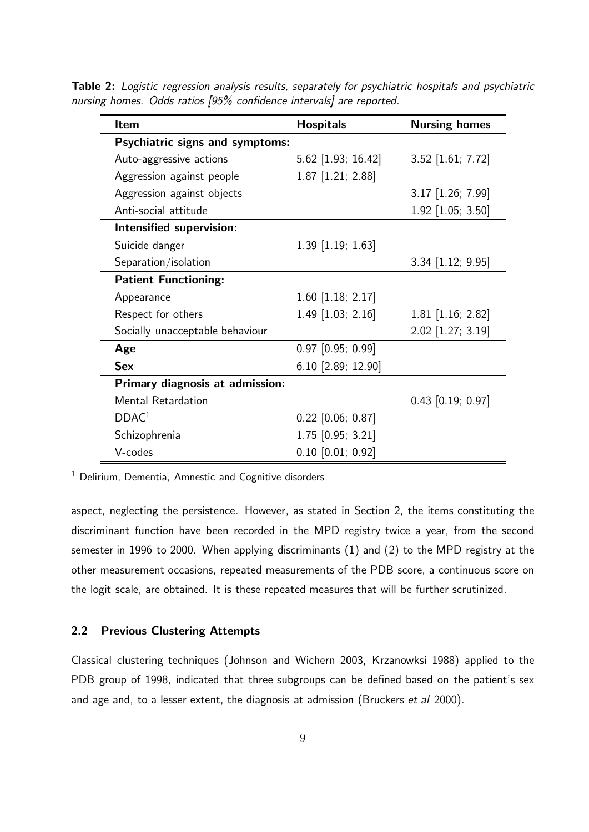Table 2: Logistic regression analysis results, separately for psychiatric hospitals and psychiatric nursing homes. Odds ratios [95% confidence intervals] are reported.

| <b>Item</b>                            | <b>Hospitals</b>      | <b>Nursing homes</b> |
|----------------------------------------|-----------------------|----------------------|
| <b>Psychiatric signs and symptoms:</b> |                       |                      |
| Auto-aggressive actions                | $5.62$ [1.93; 16.42]  | 3.52 [1.61; 7.72]    |
| Aggression against people              | 1.87 [1.21; 2.88]     |                      |
| Aggression against objects             |                       | 3.17 [1.26; 7.99]    |
| Anti-social attitude                   |                       | 1.92 [1.05; 3.50]    |
| Intensified supervision:               |                       |                      |
| Suicide danger                         | $1.39$ [1.19; 1.63]   |                      |
| Separation/isolation                   |                       | 3.34 [1.12; 9.95]    |
| <b>Patient Functioning:</b>            |                       |                      |
| Appearance                             | $1.60$ [1.18; 2.17]   |                      |
| Respect for others                     | 1.49 [1.03; 2.16]     | $1.81$ [1.16; 2.82]  |
| Socially unacceptable behaviour        |                       | 2.02 [1.27; 3.19]    |
| Age                                    | $0.97$ [0.95; 0.99]   |                      |
| <b>Sex</b>                             | 6.10 [2.89; 12.90]    |                      |
| Primary diagnosis at admission:        |                       |                      |
| <b>Mental Retardation</b>              |                       | $0.43$ [0.19; 0.97]  |
| DDAC <sup>1</sup>                      | $0.22$ [0.06; 0.87]   |                      |
| Schizophrenia                          | 1.75 [0.95; 3.21]     |                      |
| V-codes                                | $0.10$ $[0.01; 0.92]$ |                      |

 $1$  Delirium, Dementia, Amnestic and Cognitive disorders

aspect, neglecting the persistence. However, as stated in Section 2, the items constituting the discriminant function have been recorded in the MPD registry twice a year, from the second semester in 1996 to 2000. When applying discriminants (1) and (2) to the MPD registry at the other measurement occasions, repeated measurements of the PDB score, a continuous score on the logit scale, are obtained. It is these repeated measures that will be further scrutinized.

## 2.2 Previous Clustering Attempts

Classical clustering techniques (Johnson and Wichern 2003, Krzanowksi 1988) applied to the PDB group of 1998, indicated that three subgroups can be defined based on the patient's sex and age and, to a lesser extent, the diagnosis at admission (Bruckers et al 2000).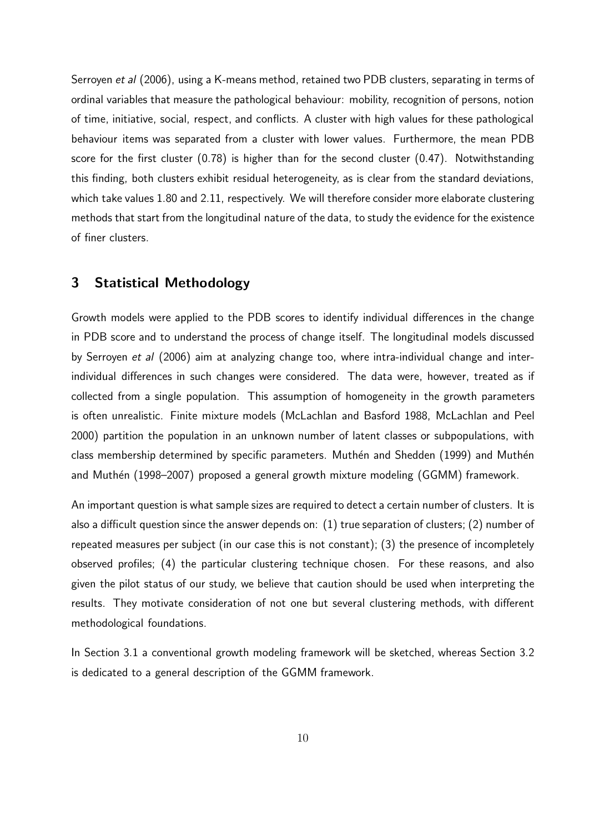Serroyen et al (2006), using a K-means method, retained two PDB clusters, separating in terms of ordinal variables that measure the pathological behaviour: mobility, recognition of persons, notion of time, initiative, social, respect, and conflicts. A cluster with high values for these pathological behaviour items was separated from a cluster with lower values. Furthermore, the mean PDB score for the first cluster (0.78) is higher than for the second cluster (0.47). Notwithstanding this finding, both clusters exhibit residual heterogeneity, as is clear from the standard deviations, which take values 1.80 and 2.11, respectively. We will therefore consider more elaborate clustering methods that start from the longitudinal nature of the data, to study the evidence for the existence of finer clusters.

# 3 Statistical Methodology

Growth models were applied to the PDB scores to identify individual differences in the change in PDB score and to understand the process of change itself. The longitudinal models discussed by Serroyen et al (2006) aim at analyzing change too, where intra-individual change and interindividual differences in such changes were considered. The data were, however, treated as if collected from a single population. This assumption of homogeneity in the growth parameters is often unrealistic. Finite mixture models (McLachlan and Basford 1988, McLachlan and Peel 2000) partition the population in an unknown number of latent classes or subpopulations, with class membership determined by specific parameters. Muthén and Shedden (1999) and Muthén and Muthén (1998–2007) proposed a general growth mixture modeling (GGMM) framework.

An important question is what sample sizes are required to detect a certain number of clusters. It is also a difficult question since the answer depends on: (1) true separation of clusters; (2) number of repeated measures per subject (in our case this is not constant); (3) the presence of incompletely observed profiles; (4) the particular clustering technique chosen. For these reasons, and also given the pilot status of our study, we believe that caution should be used when interpreting the results. They motivate consideration of not one but several clustering methods, with different methodological foundations.

In Section 3.1 a conventional growth modeling framework will be sketched, whereas Section 3.2 is dedicated to a general description of the GGMM framework.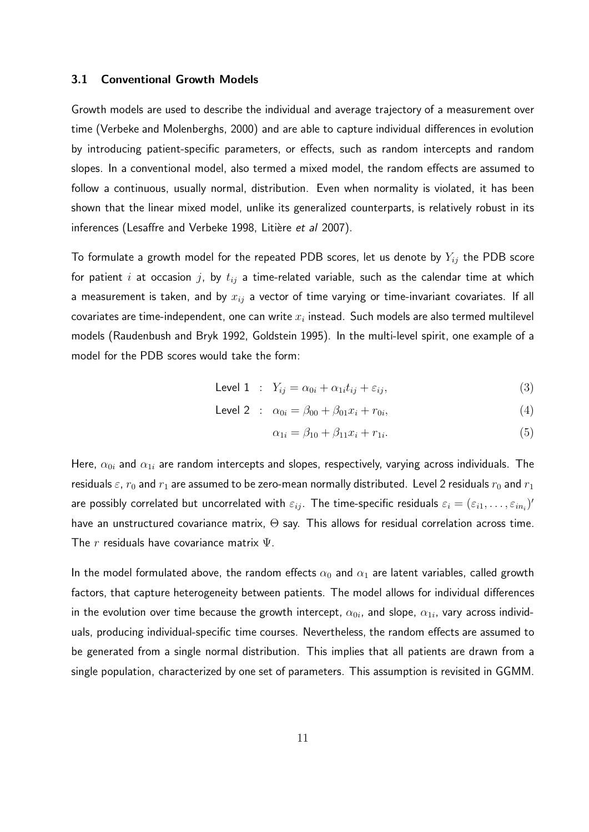#### 3.1 Conventional Growth Models

Growth models are used to describe the individual and average trajectory of a measurement over time (Verbeke and Molenberghs, 2000) and are able to capture individual differences in evolution by introducing patient-specific parameters, or effects, such as random intercepts and random slopes. In a conventional model, also termed a mixed model, the random effects are assumed to follow a continuous, usually normal, distribution. Even when normality is violated, it has been shown that the linear mixed model, unlike its generalized counterparts, is relatively robust in its inferences (Lesaffre and Verbeke 1998, Litière et al 2007).

To formulate a growth model for the repeated PDB scores, let us denote by  $Y_{ij}$  the PDB score for patient i at occasion j, by  $t_{ij}$  a time-related variable, such as the calendar time at which a measurement is taken, and by  $x_{ij}$  a vector of time varying or time-invariant covariates. If all covariates are time-independent, one can write  $x_i$  instead. Such models are also termed multilevel models (Raudenbush and Bryk 1992, Goldstein 1995). In the multi-level spirit, one example of a model for the PDB scores would take the form:

$$
\text{Level 1} : Y_{ij} = \alpha_{0i} + \alpha_{1i} t_{ij} + \varepsilon_{ij}, \tag{3}
$$

Level 2 : 
$$
\alpha_{0i} = \beta_{00} + \beta_{01}x_i + r_{0i}
$$
, (4)

$$
\alpha_{1i} = \beta_{10} + \beta_{11}x_i + r_{1i}.\tag{5}
$$

Here,  $\alpha_{0i}$  and  $\alpha_{1i}$  are random intercepts and slopes, respectively, varying across individuals. The residuals  $\varepsilon$ ,  $r_0$  and  $r_1$  are assumed to be zero-mean normally distributed. Level 2 residuals  $r_0$  and  $r_1$ are possibly correlated but uncorrelated with  $\varepsilon_{ij}$ . The time-specific residuals  $\varepsilon_i=(\varepsilon_{i1},\ldots,\varepsilon_{in_i})'$ have an unstructured covariance matrix, Θ say. This allows for residual correlation across time. The r residuals have covariance matrix  $\Psi$ .

In the model formulated above, the random effects  $\alpha_0$  and  $\alpha_1$  are latent variables, called growth factors, that capture heterogeneity between patients. The model allows for individual differences in the evolution over time because the growth intercept,  $\alpha_{0i}$ , and slope,  $\alpha_{1i}$ , vary across individuals, producing individual-specific time courses. Nevertheless, the random effects are assumed to be generated from a single normal distribution. This implies that all patients are drawn from a single population, characterized by one set of parameters. This assumption is revisited in GGMM.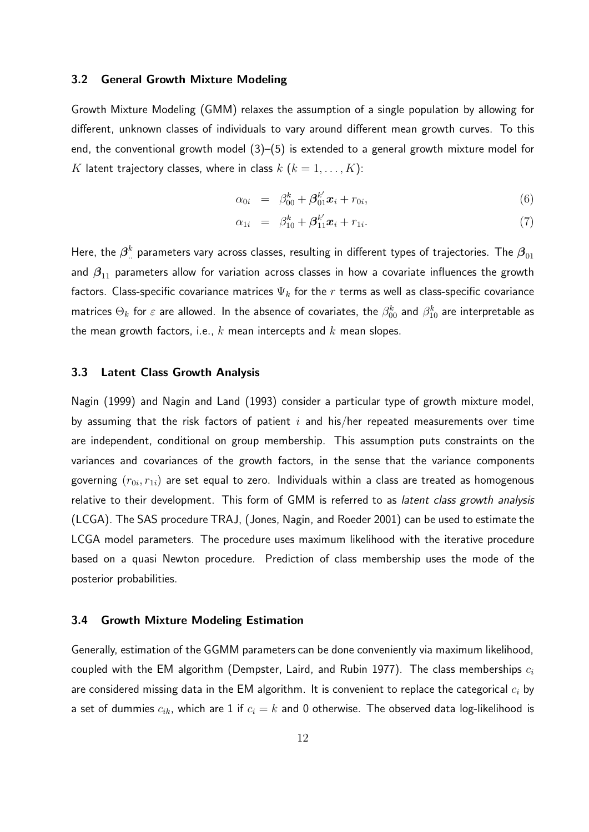#### 3.2 General Growth Mixture Modeling

Growth Mixture Modeling (GMM) relaxes the assumption of a single population by allowing for different, unknown classes of individuals to vary around different mean growth curves. To this end, the conventional growth model  $(3)$ – $(5)$  is extended to a general growth mixture model for K latent trajectory classes, where in class  $k$   $(k = 1, ..., K)$ :

$$
\alpha_{0i} = \beta_{00}^k + \beta_{01}^{k'} \mathbf{x}_i + r_{0i}, \qquad (6)
$$

$$
\alpha_{1i} = \beta_{10}^k + \beta_{11}^{k'} x_i + r_{1i}.
$$
\n(7)

Here, the  $\bm{\beta}^k_{..}$  parameters vary across classes, resulting in different types of trajectories. The  $\bm{\beta}_{01}$ and  $\beta_{11}$  parameters allow for variation across classes in how a covariate influences the growth factors. Class-specific covariance matrices  $\Psi_k$  for the r terms as well as class-specific covariance matrices  $\Theta_k$  for  $\varepsilon$  are allowed. In the absence of covariates, the  $\beta_{00}^k$  and  $\beta_{10}^k$  are interpretable as the mean growth factors, i.e.,  $k$  mean intercepts and  $k$  mean slopes.

## 3.3 Latent Class Growth Analysis

Nagin (1999) and Nagin and Land (1993) consider a particular type of growth mixture model, by assuming that the risk factors of patient i and his/her repeated measurements over time are independent, conditional on group membership. This assumption puts constraints on the variances and covariances of the growth factors, in the sense that the variance components governing  $(r_{0i}, r_{1i})$  are set equal to zero. Individuals within a class are treated as homogenous relative to their development. This form of GMM is referred to as *latent class growth analysis* (LCGA). The SAS procedure TRAJ, (Jones, Nagin, and Roeder 2001) can be used to estimate the LCGA model parameters. The procedure uses maximum likelihood with the iterative procedure based on a quasi Newton procedure. Prediction of class membership uses the mode of the posterior probabilities.

#### 3.4 Growth Mixture Modeling Estimation

Generally, estimation of the GGMM parameters can be done conveniently via maximum likelihood, coupled with the EM algorithm (Dempster, Laird, and Rubin 1977). The class memberships  $c_i$ are considered missing data in the EM algorithm. It is convenient to replace the categorical  $c_i$  by a set of dummies  $c_{ik}$ , which are 1 if  $c_i = k$  and 0 otherwise. The observed data log-likelihood is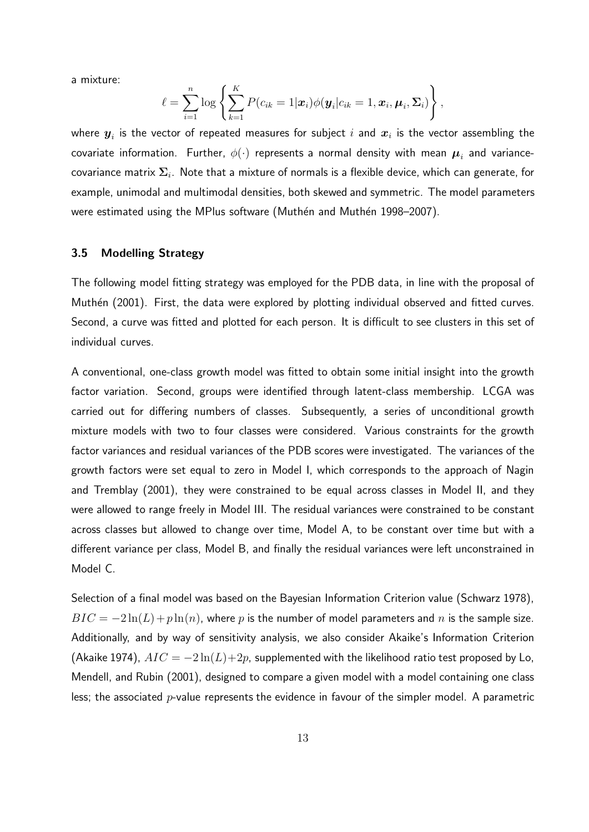a mixture:

$$
\ell = \sum_{i=1}^n \log \left\{ \sum_{k=1}^K P(c_{ik} = 1 | \boldsymbol{x}_i) \phi(\boldsymbol{y}_i | c_{ik} = 1, \boldsymbol{x}_i, \boldsymbol{\mu}_i, \boldsymbol{\Sigma}_i) \right\},
$$

where  $\boldsymbol{y}_i$  is the vector of repeated measures for subject  $i$  and  $\boldsymbol{x}_i$  is the vector assembling the covariate information. Further,  $\phi(\cdot)$  represents a normal density with mean  $\boldsymbol{\mu}_i$  and variancecovariance matrix  $\boldsymbol{\Sigma}_i$ . Note that a mixture of normals is a flexible device, which can generate, for example, unimodal and multimodal densities, both skewed and symmetric. The model parameters were estimated using the MPlus software (Muthén and Muthén 1998–2007).

## 3.5 Modelling Strategy

The following model fitting strategy was employed for the PDB data, in line with the proposal of Muthén (2001). First, the data were explored by plotting individual observed and fitted curves. Second, a curve was fitted and plotted for each person. It is difficult to see clusters in this set of individual curves.

A conventional, one-class growth model was fitted to obtain some initial insight into the growth factor variation. Second, groups were identified through latent-class membership. LCGA was carried out for differing numbers of classes. Subsequently, a series of unconditional growth mixture models with two to four classes were considered. Various constraints for the growth factor variances and residual variances of the PDB scores were investigated. The variances of the growth factors were set equal to zero in Model I, which corresponds to the approach of Nagin and Tremblay (2001), they were constrained to be equal across classes in Model II, and they were allowed to range freely in Model III. The residual variances were constrained to be constant across classes but allowed to change over time, Model A, to be constant over time but with a different variance per class, Model B, and finally the residual variances were left unconstrained in Model C.

Selection of a final model was based on the Bayesian Information Criterion value (Schwarz 1978),  $BIC = -2\ln(L) + p\ln(n)$ , where p is the number of model parameters and n is the sample size. Additionally, and by way of sensitivity analysis, we also consider Akaike's Information Criterion (Akaike 1974),  $AIC = -2\ln(L) + 2p$ , supplemented with the likelihood ratio test proposed by Lo, Mendell, and Rubin (2001), designed to compare a given model with a model containing one class less; the associated  $p$ -value represents the evidence in favour of the simpler model. A parametric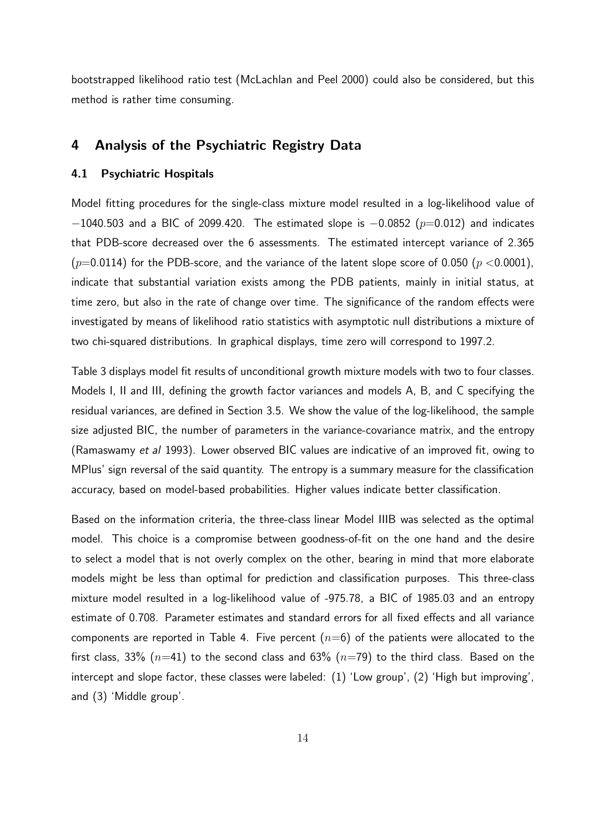bootstrapped likelihood ratio test (McLachlan and Peel 2000) could also be considered, but this method is rather time consuming.

## 4 Analysis of the Psychiatric Registry Data

#### 4.1 Psychiatric Hospitals

Model fitting procedures for the single-class mixture model resulted in a log-likelihood value of  $-1040.503$  and a BIC of 2099.420. The estimated slope is  $-0.0852$  ( $p=0.012$ ) and indicates that PDB-score decreased over the 6 assessments. The estimated intercept variance of 2.365  $(p=0.0114)$  for the PDB-score, and the variance of the latent slope score of 0.050  $(p < 0.0001)$ , indicate that substantial variation exists among the PDB patients, mainly in initial status, at time zero, but also in the rate of change over time. The significance of the random effects were investigated by means of likelihood ratio statistics with asymptotic null distributions a mixture of two chi-squared distributions. In graphical displays, time zero will correspond to 1997.2.

Table 3 displays model fit results of unconditional growth mixture models with two to four classes. Models I, II and III, defining the growth factor variances and models A, B, and C specifying the residual variances, are defined in Section 3.5. We show the value of the log-likelihood, the sample size adjusted BIC, the number of parameters in the variance-covariance matrix, and the entropy (Ramaswamy et al 1993). Lower observed BIC values are indicative of an improved fit, owing to MPlus' sign reversal of the said quantity. The entropy is a summary measure for the classification accuracy, based on model-based probabilities. Higher values indicate better classification.

Based on the information criteria, the three-class linear Model IIIB was selected as the optimal model. This choice is a compromise between goodness-of-fit on the one hand and the desire to select a model that is not overly complex on the other, bearing in mind that more elaborate models might be less than optimal for prediction and classification purposes. This three-class mixture model resulted in a log-likelihood value of -975.78, a BIC of 1985.03 and an entropy estimate of 0.708. Parameter estimates and standard errors for all fixed effects and all variance components are reported in Table 4. Five percent  $(n=6)$  of the patients were allocated to the first class, 33% ( $n=41$ ) to the second class and 63% ( $n=79$ ) to the third class. Based on the intercept and slope factor, these classes were labeled: (1) 'Low group', (2) 'High but improving', and (3) 'Middle group'.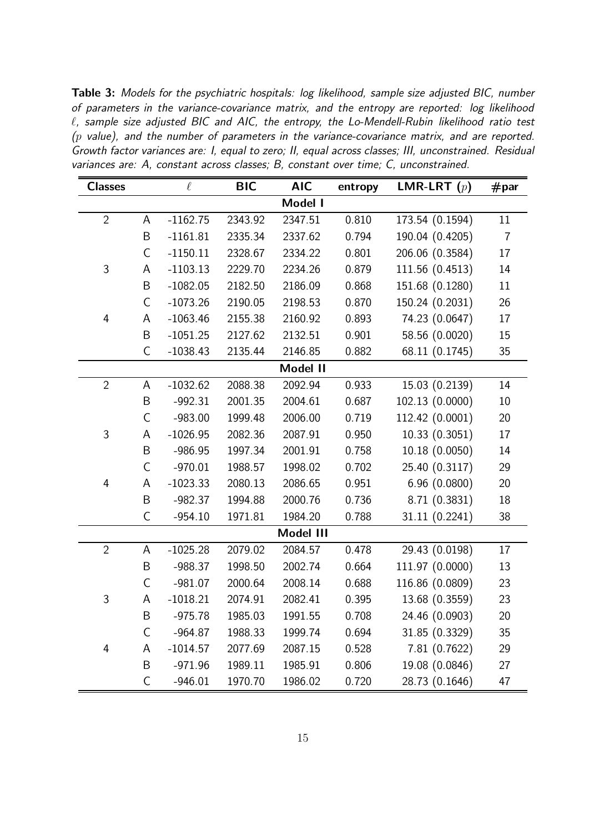Table 3: Models for the psychiatric hospitals: log likelihood, sample size adjusted BIC, number of parameters in the variance-covariance matrix, and the entropy are reported: log likelihood  $\ell$ , sample size adjusted BIC and AIC, the entropy, the Lo-Mendell-Rubin likelihood ratio test  $(p$  value), and the number of parameters in the variance-covariance matrix, and are reported. Growth factor variances are: I, equal to zero; II, equal across classes; III, unconstrained. Residual variances are: A, constant across classes; B, constant over time; C, unconstrained.

| <b>Classes</b> |              | $\ell$     | <b>BIC</b> | <b>AIC</b> | entropy | LMR-LRT $(p)$   | #par           |
|----------------|--------------|------------|------------|------------|---------|-----------------|----------------|
|                |              |            |            | Model I    |         |                 |                |
| $\overline{2}$ | A            | $-1162.75$ | 2343.92    | 2347.51    | 0.810   | 173.54 (0.1594) | $11\,$         |
|                | B            | $-1161.81$ | 2335.34    | 2337.62    | 0.794   | 190.04 (0.4205) | $\overline{7}$ |
|                | $\mathsf C$  | $-1150.11$ | 2328.67    | 2334.22    | 0.801   | 206.06 (0.3584) | 17             |
| 3              | A            | $-1103.13$ | 2229.70    | 2234.26    | 0.879   | 111.56 (0.4513) | 14             |
|                | B            | $-1082.05$ | 2182.50    | 2186.09    | 0.868   | 151.68 (0.1280) | $11\,$         |
|                | $\mathsf C$  | $-1073.26$ | 2190.05    | 2198.53    | 0.870   | 150.24 (0.2031) | 26             |
| $\overline{4}$ | A            | $-1063.46$ | 2155.38    | 2160.92    | 0.893   | 74.23 (0.0647)  | 17             |
|                | B            | $-1051.25$ | 2127.62    | 2132.51    | 0.901   | 58.56 (0.0020)  | 15             |
|                | $\mathsf C$  | $-1038.43$ | 2135.44    | 2146.85    | 0.882   | 68.11 (0.1745)  | 35             |
|                |              |            |            | Model II   |         |                 |                |
| $\overline{2}$ | A            | $-1032.62$ | 2088.38    | 2092.94    | 0.933   | 15.03 (0.2139)  | 14             |
|                | B            | $-992.31$  | 2001.35    | 2004.61    | 0.687   | 102.13 (0.0000) | 10             |
|                | $\mathsf C$  | $-983.00$  | 1999.48    | 2006.00    | 0.719   | 112.42 (0.0001) | 20             |
| 3              | A            | $-1026.95$ | 2082.36    | 2087.91    | 0.950   | 10.33 (0.3051)  | 17             |
|                | B            | $-986.95$  | 1997.34    | 2001.91    | 0.758   | 10.18 (0.0050)  | 14             |
|                | $\mathsf C$  | $-970.01$  | 1988.57    | 1998.02    | 0.702   | 25.40 (0.3117)  | 29             |
| $\overline{4}$ | A            | $-1023.33$ | 2080.13    | 2086.65    | 0.951   | 6.96(0.0800)    | 20             |
|                | B            | $-982.37$  | 1994.88    | 2000.76    | 0.736   | 8.71 (0.3831)   | 18             |
|                | $\mathsf{C}$ | $-954.10$  | 1971.81    | 1984.20    | 0.788   | 31.11 (0.2241)  | 38             |
|                |              |            |            | Model III  |         |                 |                |
| $\overline{2}$ | A            | $-1025.28$ | 2079.02    | 2084.57    | 0.478   | 29.43 (0.0198)  | 17             |
|                | B            | $-988.37$  | 1998.50    | 2002.74    | 0.664   | 111.97 (0.0000) | 13             |
|                | $\mathsf C$  | $-981.07$  | 2000.64    | 2008.14    | 0.688   | 116.86 (0.0809) | 23             |
| 3              | А            | $-1018.21$ | 2074.91    | 2082.41    | 0.395   | 13.68 (0.3559)  | 23             |
|                | B            | $-975.78$  | 1985.03    | 1991.55    | 0.708   | 24.46 (0.0903)  | 20             |
|                | $\mathsf{C}$ | $-964.87$  | 1988.33    | 1999.74    | 0.694   | 31.85 (0.3329)  | 35             |
| 4              | A            | $-1014.57$ | 2077.69    | 2087.15    | 0.528   | 7.81 (0.7622)   | 29             |
|                | B            | $-971.96$  | 1989.11    | 1985.91    | 0.806   | 19.08 (0.0846)  | 27             |
|                | $\mathsf{C}$ | $-946.01$  | 1970.70    | 1986.02    | 0.720   | 28.73 (0.1646)  | 47             |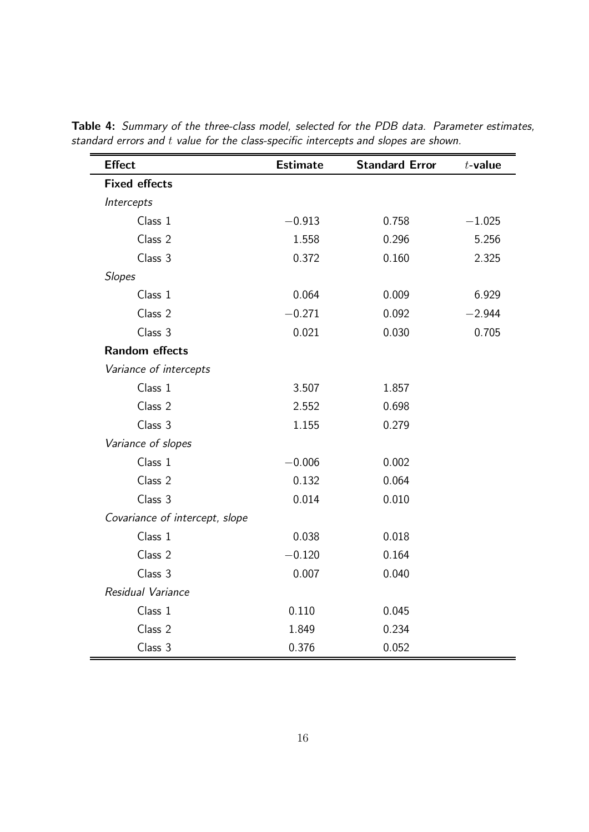| <b>Effect</b>                  | <b>Estimate</b> | <b>Standard Error</b> | $t$ -value |
|--------------------------------|-----------------|-----------------------|------------|
| <b>Fixed effects</b>           |                 |                       |            |
| Intercepts                     |                 |                       |            |
| Class 1                        | $-0.913$        | 0.758                 | $-1.025$   |
| Class 2                        | 1.558           | 0.296                 | 5.256      |
| Class 3                        | 0.372           | 0.160                 | 2.325      |
| <b>Slopes</b>                  |                 |                       |            |
| Class 1                        | 0.064           | 0.009                 | 6.929      |
| Class 2                        | $-0.271$        | 0.092                 | $-2.944$   |
| Class 3                        | 0.021           | 0.030                 | 0.705      |
| <b>Random effects</b>          |                 |                       |            |
| Variance of intercepts         |                 |                       |            |
| Class 1                        | 3.507           | 1.857                 |            |
| Class 2                        | 2.552           | 0.698                 |            |
| Class 3                        | 1.155           | 0.279                 |            |
| Variance of slopes             |                 |                       |            |
| Class 1                        | $-0.006$        | 0.002                 |            |
| Class 2                        | 0.132           | 0.064                 |            |
| Class 3                        | 0.014           | 0.010                 |            |
| Covariance of intercept, slope |                 |                       |            |
| Class 1                        | 0.038           | 0.018                 |            |
| Class 2                        | $-0.120$        | 0.164                 |            |
| Class 3                        | 0.007           | 0.040                 |            |
| Residual Variance              |                 |                       |            |
| Class 1                        | 0.110           | 0.045                 |            |
| Class 2                        | 1.849           | 0.234                 |            |
| Class 3                        | 0.376           | 0.052                 |            |

Table 4: Summary of the three-class model, selected for the PDB data. Parameter estimates, standard errors and t value for the class-specific intercepts and slopes are shown.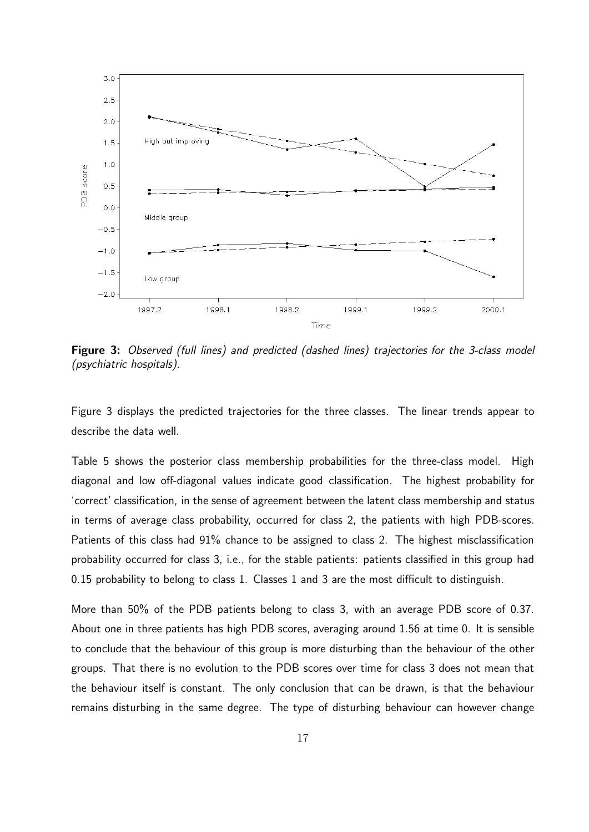

Figure 3: Observed (full lines) and predicted (dashed lines) trajectories for the 3-class model (psychiatric hospitals).

Figure 3 displays the predicted trajectories for the three classes. The linear trends appear to describe the data well.

Table 5 shows the posterior class membership probabilities for the three-class model. High diagonal and low off-diagonal values indicate good classification. The highest probability for 'correct' classification, in the sense of agreement between the latent class membership and status in terms of average class probability, occurred for class 2, the patients with high PDB-scores. Patients of this class had  $91\%$  chance to be assigned to class 2. The highest misclassification probability occurred for class 3, i.e., for the stable patients: patients classified in this group had 0.15 probability to belong to class 1. Classes 1 and 3 are the most difficult to distinguish.

More than 50% of the PDB patients belong to class 3, with an average PDB score of 0.37. About one in three patients has high PDB scores, averaging around 1.56 at time 0. It is sensible to conclude that the behaviour of this group is more disturbing than the behaviour of the other groups. That there is no evolution to the PDB scores over time for class 3 does not mean that the behaviour itself is constant. The only conclusion that can be drawn, is that the behaviour remains disturbing in the same degree. The type of disturbing behaviour can however change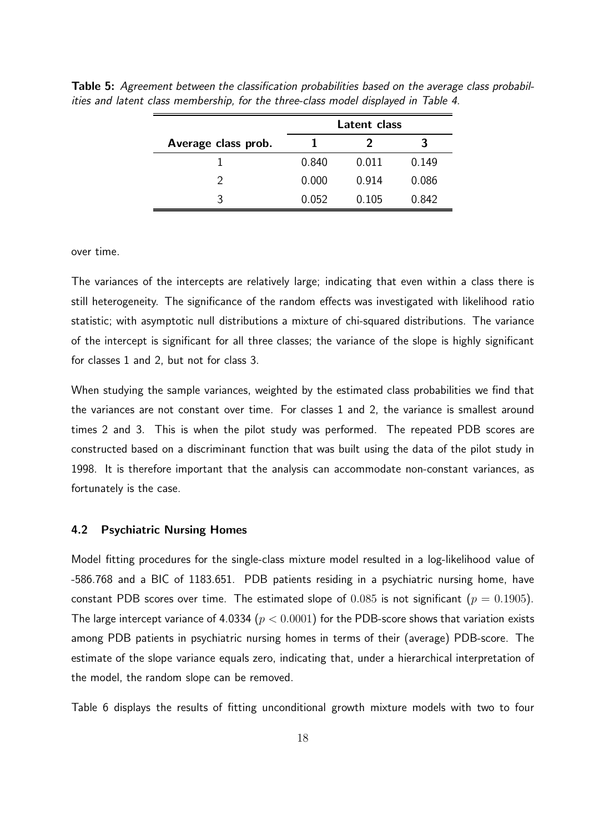|                     | Latent class |       |       |  |
|---------------------|--------------|-------|-------|--|
| Average class prob. |              |       |       |  |
|                     | 0.840        | 0.011 | 0.149 |  |
|                     | 0.000        | 0.914 | 0.086 |  |
| 2                   | 0.052        | 0.105 | 0.842 |  |
|                     |              |       |       |  |

Table 5: Agreement between the classification probabilities based on the average class probabilities and latent class membership, for the three-class model displayed in Table 4.

over time.

The variances of the intercepts are relatively large; indicating that even within a class there is still heterogeneity. The significance of the random effects was investigated with likelihood ratio statistic; with asymptotic null distributions a mixture of chi-squared distributions. The variance of the intercept is significant for all three classes; the variance of the slope is highly significant for classes 1 and 2, but not for class 3.

When studying the sample variances, weighted by the estimated class probabilities we find that the variances are not constant over time. For classes 1 and 2, the variance is smallest around times 2 and 3. This is when the pilot study was performed. The repeated PDB scores are constructed based on a discriminant function that was built using the data of the pilot study in 1998. It is therefore important that the analysis can accommodate non-constant variances, as fortunately is the case.

## 4.2 Psychiatric Nursing Homes

Model fitting procedures for the single-class mixture model resulted in a log-likelihood value of -586.768 and a BIC of 1183.651. PDB patients residing in a psychiatric nursing home, have constant PDB scores over time. The estimated slope of  $0.085$  is not significant ( $p = 0.1905$ ). The large intercept variance of 4.0334 ( $p < 0.0001$ ) for the PDB-score shows that variation exists among PDB patients in psychiatric nursing homes in terms of their (average) PDB-score. The estimate of the slope variance equals zero, indicating that, under a hierarchical interpretation of the model, the random slope can be removed.

Table 6 displays the results of fitting unconditional growth mixture models with two to four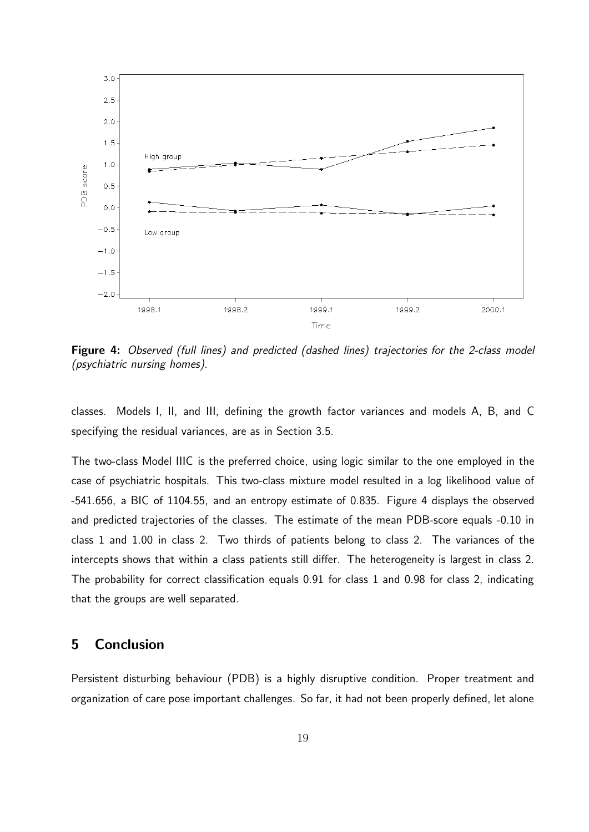

Figure 4: Observed (full lines) and predicted (dashed lines) trajectories for the 2-class model (psychiatric nursing homes).

classes. Models I, II, and III, defining the growth factor variances and models A, B, and C specifying the residual variances, are as in Section 3.5.

The two-class Model IIIC is the preferred choice, using logic similar to the one employed in the case of psychiatric hospitals. This two-class mixture model resulted in a log likelihood value of -541.656, a BIC of 1104.55, and an entropy estimate of 0.835. Figure 4 displays the observed and predicted trajectories of the classes. The estimate of the mean PDB-score equals -0.10 in class 1 and 1.00 in class 2. Two thirds of patients belong to class 2. The variances of the intercepts shows that within a class patients still differ. The heterogeneity is largest in class 2. The probability for correct classification equals 0.91 for class 1 and 0.98 for class 2, indicating that the groups are well separated.

# 5 Conclusion

Persistent disturbing behaviour (PDB) is a highly disruptive condition. Proper treatment and organization of care pose important challenges. So far, it had not been properly defined, let alone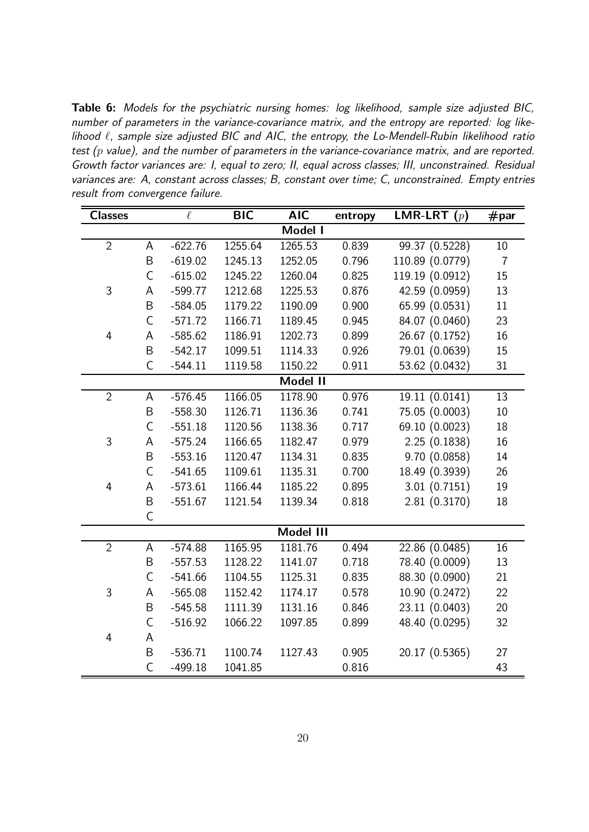Table 6: Models for the psychiatric nursing homes: log likelihood, sample size adjusted BIC, number of parameters in the variance-covariance matrix, and the entropy are reported: log likelihood  $\ell$ , sample size adjusted BIC and AIC, the entropy, the Lo-Mendell-Rubin likelihood ratio test  $(p$  value), and the number of parameters in the variance-covariance matrix, and are reported. Growth factor variances are: I, equal to zero; II, equal across classes; III, unconstrained. Residual variances are: A, constant across classes; B, constant over time; C, unconstrained. Empty entries result from convergence failure.

| <b>Classes</b> |              | $\ell$    | <b>BIC</b> | <b>AIC</b> | entropy | <b>LMR-LRT</b> $(p)$ | $\#$ par       |
|----------------|--------------|-----------|------------|------------|---------|----------------------|----------------|
|                |              |           |            | Model I    |         |                      |                |
| $\overline{2}$ | A            | $-622.76$ | 1255.64    | 1265.53    | 0.839   | 99.37 (0.5228)       | 10             |
|                | B            | $-619.02$ | 1245.13    | 1252.05    | 0.796   | 110.89 (0.0779)      | $\overline{7}$ |
|                | $\mathsf C$  | $-615.02$ | 1245.22    | 1260.04    | 0.825   | 119.19 (0.0912)      | 15             |
| 3              | А            | $-599.77$ | 1212.68    | 1225.53    | 0.876   | 42.59 (0.0959)       | 13             |
|                | $\sf B$      | $-584.05$ | 1179.22    | 1190.09    | 0.900   | 65.99 (0.0531)       | 11             |
|                | $\mathsf C$  | $-571.72$ | 1166.71    | 1189.45    | 0.945   | 84.07 (0.0460)       | 23             |
| $\overline{4}$ | A            | $-585.62$ | 1186.91    | 1202.73    | 0.899   | 26.67 (0.1752)       | 16             |
|                | B            | $-542.17$ | 1099.51    | 1114.33    | 0.926   | 79.01 (0.0639)       | 15             |
|                | $\mathsf C$  | $-544.11$ | 1119.58    | 1150.22    | 0.911   | 53.62 (0.0432)       | 31             |
|                |              |           |            | Model II   |         |                      |                |
| $\overline{2}$ | A            | $-576.45$ | 1166.05    | 1178.90    | 0.976   | 19.11 (0.0141)       | 13             |
|                | B            | $-558.30$ | 1126.71    | 1136.36    | 0.741   | 75.05 (0.0003)       | 10             |
|                | $\mathsf C$  | $-551.18$ | 1120.56    | 1138.36    | 0.717   | 69.10 (0.0023)       | 18             |
| 3              | А            | $-575.24$ | 1166.65    | 1182.47    | 0.979   | 2.25(0.1838)         | 16             |
|                | $\sf B$      | $-553.16$ | 1120.47    | 1134.31    | 0.835   | 9.70 (0.0858)        | 14             |
|                | $\mathsf{C}$ | $-541.65$ | 1109.61    | 1135.31    | 0.700   | 18.49 (0.3939)       | 26             |
| $\overline{4}$ | A            | $-573.61$ | 1166.44    | 1185.22    | 0.895   | 3.01(0.7151)         | 19             |
|                | $\sf B$      | $-551.67$ | 1121.54    | 1139.34    | 0.818   | 2.81(0.3170)         | 18             |
|                | $\mathsf{C}$ |           |            |            |         |                      |                |
|                |              |           |            | Model III  |         |                      |                |
| $\overline{2}$ | A            | $-574.88$ | 1165.95    | 1181.76    | 0.494   | 22.86 (0.0485)       | 16             |
|                | B            | $-557.53$ | 1128.22    | 1141.07    | 0.718   | 78.40 (0.0009)       | 13             |
|                | $\mathsf C$  | $-541.66$ | 1104.55    | 1125.31    | 0.835   | 88.30 (0.0900)       | 21             |
| 3              | A            | $-565.08$ | 1152.42    | 1174.17    | 0.578   | 10.90 (0.2472)       | 22             |
|                | B            | $-545.58$ | 1111.39    | 1131.16    | 0.846   | 23.11 (0.0403)       | 20             |
|                | $\mathsf{C}$ | $-516.92$ | 1066.22    | 1097.85    | 0.899   | 48.40 (0.0295)       | 32             |
| $\overline{4}$ | A            |           |            |            |         |                      |                |
|                | $\sf B$      | $-536.71$ | 1100.74    | 1127.43    | 0.905   | 20.17 (0.5365)       | 27             |
|                | $\mathsf{C}$ | $-499.18$ | 1041.85    |            | 0.816   |                      | 43             |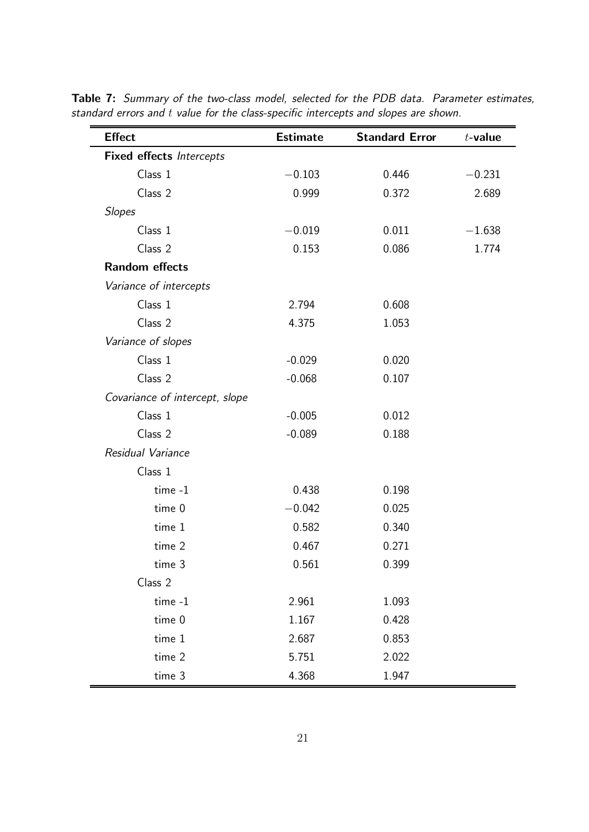| <b>Effect</b>                   | <b>Estimate</b> | <b>Standard Error</b> | $t$ -value |
|---------------------------------|-----------------|-----------------------|------------|
| <b>Fixed effects Intercepts</b> |                 |                       |            |
| Class 1                         | $-0.103$        | 0.446                 | $-0.231$   |
| Class 2                         | 0.999           | 0.372                 | 2.689      |
| <b>Slopes</b>                   |                 |                       |            |
| Class 1                         | $-0.019$        | 0.011                 | $-1.638$   |
| Class 2                         | 0.153           | 0.086                 | 1.774      |
| <b>Random effects</b>           |                 |                       |            |
| Variance of intercepts          |                 |                       |            |
| Class 1                         | 2.794           | 0.608                 |            |
| Class 2                         | 4.375           | 1.053                 |            |
| Variance of slopes              |                 |                       |            |
| Class 1                         | $-0.029$        | 0.020                 |            |
| Class 2                         | $-0.068$        | 0.107                 |            |
| Covariance of intercept, slope  |                 |                       |            |
| Class 1                         | $-0.005$        | 0.012                 |            |
| Class 2                         | $-0.089$        | 0.188                 |            |
| Residual Variance               |                 |                       |            |
| Class 1                         |                 |                       |            |
| time -1                         | 0.438           | 0.198                 |            |
| time 0                          | $-0.042$        | 0.025                 |            |
| time 1                          | 0.582           | 0.340                 |            |
| time 2                          | 0.467           | 0.271                 |            |
| time 3                          | 0.561           | 0.399                 |            |
| Class 2                         |                 |                       |            |
| time -1                         | 2.961           | 1.093                 |            |
| time 0                          | 1.167           | 0.428                 |            |
| time 1                          | 2.687           | 0.853                 |            |
| time 2                          | 5.751           | 2.022                 |            |
| time 3                          | 4.368           | 1.947                 |            |

Table 7: Summary of the two-class model, selected for the PDB data. Parameter estimates, standard errors and t value for the class-specific intercepts and slopes are shown.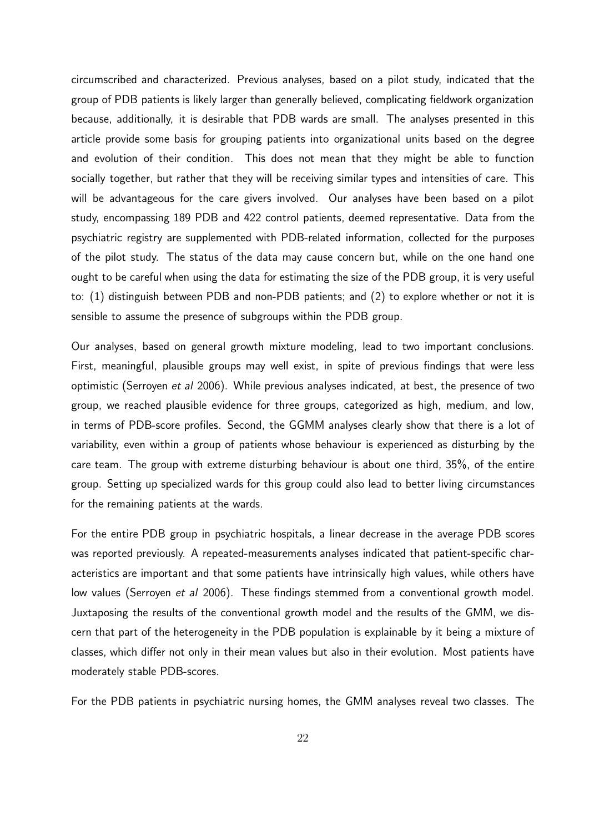circumscribed and characterized. Previous analyses, based on a pilot study, indicated that the group of PDB patients is likely larger than generally believed, complicating fieldwork organization because, additionally, it is desirable that PDB wards are small. The analyses presented in this article provide some basis for grouping patients into organizational units based on the degree and evolution of their condition. This does not mean that they might be able to function socially together, but rather that they will be receiving similar types and intensities of care. This will be advantageous for the care givers involved. Our analyses have been based on a pilot study, encompassing 189 PDB and 422 control patients, deemed representative. Data from the psychiatric registry are supplemented with PDB-related information, collected for the purposes of the pilot study. The status of the data may cause concern but, while on the one hand one ought to be careful when using the data for estimating the size of the PDB group, it is very useful to: (1) distinguish between PDB and non-PDB patients; and (2) to explore whether or not it is sensible to assume the presence of subgroups within the PDB group.

Our analyses, based on general growth mixture modeling, lead to two important conclusions. First, meaningful, plausible groups may well exist, in spite of previous findings that were less optimistic (Serroyen et al 2006). While previous analyses indicated, at best, the presence of two group, we reached plausible evidence for three groups, categorized as high, medium, and low, in terms of PDB-score profiles. Second, the GGMM analyses clearly show that there is a lot of variability, even within a group of patients whose behaviour is experienced as disturbing by the care team. The group with extreme disturbing behaviour is about one third, 35%, of the entire group. Setting up specialized wards for this group could also lead to better living circumstances for the remaining patients at the wards.

For the entire PDB group in psychiatric hospitals, a linear decrease in the average PDB scores was reported previously. A repeated-measurements analyses indicated that patient-specific characteristics are important and that some patients have intrinsically high values, while others have low values (Serroyen et al 2006). These findings stemmed from a conventional growth model. Juxtaposing the results of the conventional growth model and the results of the GMM, we discern that part of the heterogeneity in the PDB population is explainable by it being a mixture of classes, which differ not only in their mean values but also in their evolution. Most patients have moderately stable PDB-scores.

For the PDB patients in psychiatric nursing homes, the GMM analyses reveal two classes. The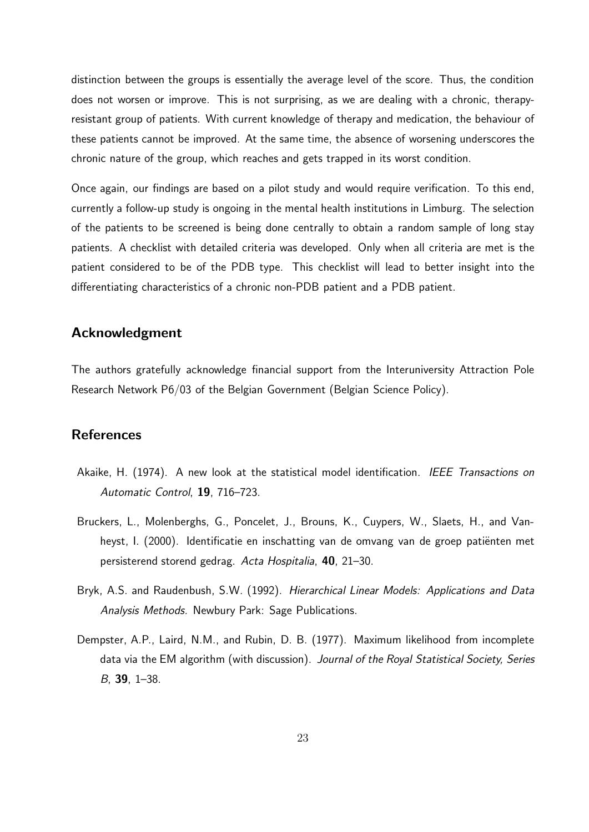distinction between the groups is essentially the average level of the score. Thus, the condition does not worsen or improve. This is not surprising, as we are dealing with a chronic, therapyresistant group of patients. With current knowledge of therapy and medication, the behaviour of these patients cannot be improved. At the same time, the absence of worsening underscores the chronic nature of the group, which reaches and gets trapped in its worst condition.

Once again, our findings are based on a pilot study and would require verification. To this end, currently a follow-up study is ongoing in the mental health institutions in Limburg. The selection of the patients to be screened is being done centrally to obtain a random sample of long stay patients. A checklist with detailed criteria was developed. Only when all criteria are met is the patient considered to be of the PDB type. This checklist will lead to better insight into the differentiating characteristics of a chronic non-PDB patient and a PDB patient.

## Acknowledgment

The authors gratefully acknowledge financial support from the Interuniversity Attraction Pole Research Network P6/03 of the Belgian Government (Belgian Science Policy).

## **References**

- Akaike, H. (1974). A new look at the statistical model identification. IEEE Transactions on Automatic Control, 19, 716–723.
- Bruckers, L., Molenberghs, G., Poncelet, J., Brouns, K., Cuypers, W., Slaets, H., and Vanheyst, I. (2000). Identificatie en inschatting van de omvang van de groep patiënten met persisterend storend gedrag. Acta Hospitalia, 40, 21–30.
- Bryk, A.S. and Raudenbush, S.W. (1992). Hierarchical Linear Models: Applications and Data Analysis Methods. Newbury Park: Sage Publications.
- Dempster, A.P., Laird, N.M., and Rubin, D. B. (1977). Maximum likelihood from incomplete data via the EM algorithm (with discussion). Journal of the Royal Statistical Society, Series B, 39, 1–38.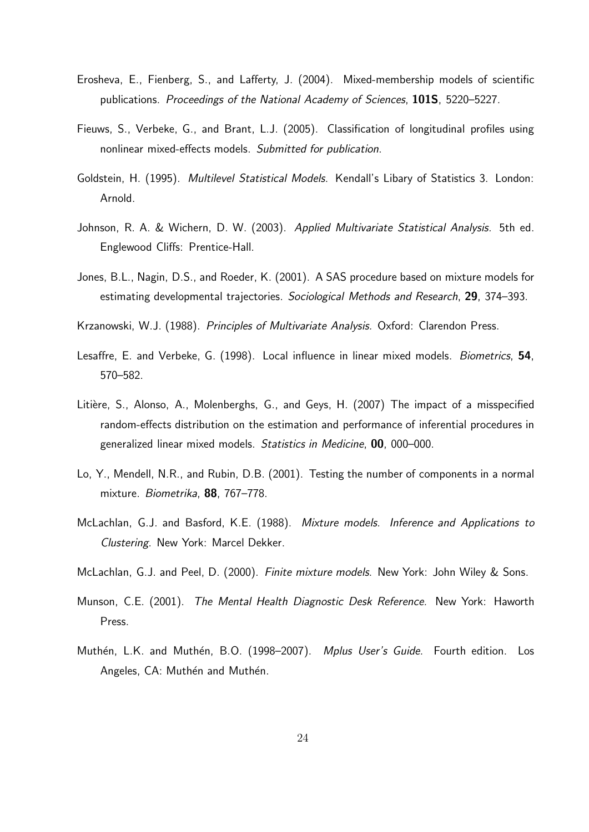- Erosheva, E., Fienberg, S., and Lafferty, J. (2004). Mixed-membership models of scientific publications. Proceedings of the National Academy of Sciences, 101S, 5220–5227.
- Fieuws, S., Verbeke, G., and Brant, L.J. (2005). Classification of longitudinal profiles using nonlinear mixed-effects models. Submitted for publication.
- Goldstein, H. (1995). Multilevel Statistical Models. Kendall's Libary of Statistics 3. London: Arnold.
- Johnson, R. A. & Wichern, D. W. (2003). Applied Multivariate Statistical Analysis. 5th ed. Englewood Cliffs: Prentice-Hall.
- Jones, B.L., Nagin, D.S., and Roeder, K. (2001). A SAS procedure based on mixture models for estimating developmental trajectories. Sociological Methods and Research, 29, 374-393.
- Krzanowski, W.J. (1988). Principles of Multivariate Analysis. Oxford: Clarendon Press.
- Lesaffre, E. and Verbeke, G. (1998). Local influence in linear mixed models. Biometrics, 54, 570–582.
- Litière, S., Alonso, A., Molenberghs, G., and Geys, H. (2007) The impact of a misspecified random-effects distribution on the estimation and performance of inferential procedures in generalized linear mixed models. Statistics in Medicine, 00, 000–000.
- Lo, Y., Mendell, N.R., and Rubin, D.B. (2001). Testing the number of components in a normal mixture. Biometrika, 88, 767–778.
- McLachlan, G.J. and Basford, K.E. (1988). Mixture models. Inference and Applications to Clustering. New York: Marcel Dekker.
- McLachlan, G.J. and Peel, D. (2000). Finite mixture models. New York: John Wiley & Sons.
- Munson, C.E. (2001). The Mental Health Diagnostic Desk Reference. New York: Haworth Press.
- Muthén, L.K. and Muthén, B.O. (1998–2007). Mplus User's Guide. Fourth edition. Los Angeles, CA: Muthén and Muthén.